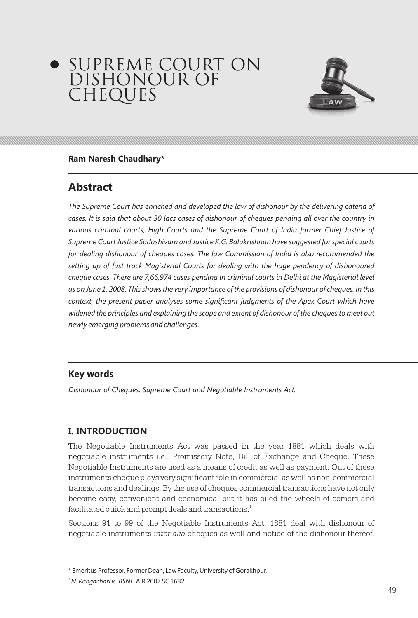# SUPREME COURT ON DISHONOUR OF CHEQUES



#### **Ram Naresh Chaudhary\***

# **Abstract**

*The Supreme Court has enriched and developed the law of dishonour by the delivering catena of cases. It is said that about 30 lacs cases of dishonour of cheques pending all over the country in*  various criminal courts, High Courts and the Supreme Court of India former Chief Justice of *Supreme Court Justice Sadashivam and Justice K.G. Balakrishnan have suggested for special courts for dealing dishonour of cheques cases. The law Commission of India is also recommended the setting up of fast track Magisterial Courts for dealing with the huge pendency of dishonoured cheque cases. There are 7,66,974 cases pending in criminal courts in Delhi at the Magisterial level as on June 1, 2008. This shows the very importance of the provisions of dishonour of cheques. In this context, the present paper analyses some significant judgments of the Apex Court which have widened the principles and explaining the scope and extent of dishonour of the cheques to meet out newly emerging problems and challenges.*

#### **Key words**

*Dishonour of Cheques, Supreme Court and Negotiable Instruments Act.*

# **I. INTRODUCTION**

The Negotiable Instruments Act was passed in the year 1881 which deals with negotiable instruments i.e., Promissory Note, Bill of Exchange and Cheque. These Negotiable Instruments are used as a means of credit as well as payment. Out of these instruments cheque plays very significant role in commercial as well as non-commercial transactions and dealings. By the use of cheques commercial transactions have not only become easy, convenient and economical but it has oiled the wheels of comers and facilitated quick and prompt deals and transactions. $^{\rm 1}$ 

Sections 91 to 99 of the Negotiable Instruments Act, 1881 deal with dishonour of negotiable instruments *inter alia* cheques as well and notice of the dishonour thereof.

<sup>\*</sup> Emeritus Professor, Former Dean, Law Faculty, University of Gorakhpur.

<sup>1</sup> *N. Rangachari v. BSNL*, AIR 2007 SC 1682.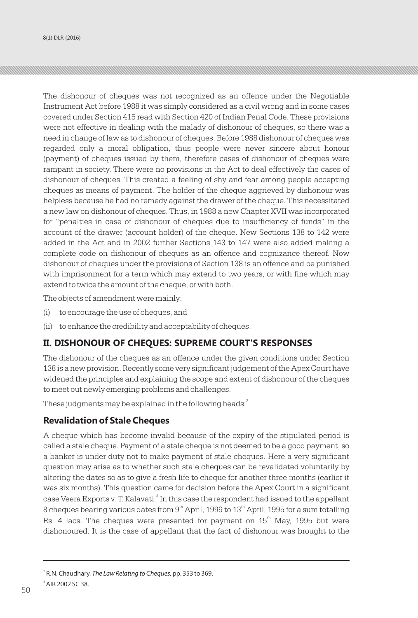The dishonour of cheques was not recognized as an offence under the Negotiable Instrument Act before 1988 it was simply considered as a civil wrong and in some cases covered under Section 415 read with Section 420 of Indian Penal Code. These provisions were not effective in dealing with the malady of dishonour of cheques, so there was a need in change of law as to dishonour of cheques. Before 1988 dishonour of cheques was regarded only a moral obligation, thus people were never sincere about honour (payment) of cheques issued by them, therefore cases of dishonour of cheques were rampant in society. There were no provisions in the Act to deal effectively the cases of dishonour of cheques. This created a feeling of shy and fear among people accepting cheques as means of payment. The holder of the cheque aggrieved by dishonour was helpless because he had no remedy against the drawer of the cheque. This necessitated a new law on dishonour of cheques. Thus, in 1988 a new Chapter XVII was incorporated for "penalties in case of dishonour of cheques due to insufficiency of funds" in the account of the drawer (account holder) of the cheque. New Sections 138 to 142 were added in the Act and in 2002 further Sections 143 to 147 were also added making a complete code on dishonour of cheques as an offence and cognizance thereof. Now dishonour of cheques under the provisions of Section 138 is an offence and be punished with imprisonment for a term which may extend to two years, or with fine which may extend to twice the amount of the cheque, or with both.

The objects of amendment were mainly:

- (i) to encourage the use of cheques, and
- (ii) to enhance the credibility and acceptability of cheques.

#### **II. DISHONOUR OF CHEQUES: SUPREME COURT'S RESPONSES**

The dishonour of the cheques as an offence under the given conditions under Section 138 is a new provision. Recently some very significant judgement of the Apex Court have widened the principles and explaining the scope and extent of dishonour of the cheques to meet out newly emerging problems and challenges.

These judgments may be explained in the following heads:  $^2$ 

#### **Revalidation of Stale Cheques**

A cheque which has become invalid because of the expiry of the stipulated period is called a stale cheque. Payment of a stale cheque is not deemed to be a good payment, so a banker is under duty not to make payment of stale cheques. Here a very significant question may arise as to whether such stale cheques can be revalidated voluntarily by altering the dates so as to give a fresh life to cheque for another three months (earlier it was six months). This question came for decision before the Apex Court in a significant case Veera Exports v. T. Kalavati. $^{\circ}$  In this case the respondent had issued to the appellant 8 cheques bearing various dates from  $9<sup>th</sup>$  April, 1999 to  $13<sup>th</sup>$  April, 1995 for a sum totalling Rs. 4 lacs. The cheques were presented for payment on  $15<sup>th</sup>$  May, 1995 but were dishonoured. It is the case of appellant that the fact of dishonour was brought to the

<sup>2</sup> R.N. Chaudhary, *The Law Relating to Cheques,* pp. 353 to 369. 3 AIR 2002 SC 38. 50 **Figure 2018**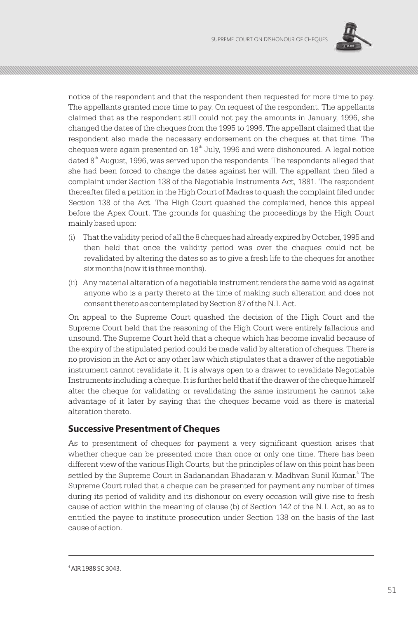

notice of the respondent and that the respondent then requested for more time to pay. The appellants granted more time to pay. On request of the respondent. The appellants claimed that as the respondent still could not pay the amounts in January, 1996, she changed the dates of the cheques from the 1995 to 1996. The appellant claimed that the respondent also made the necessary endorsement on the cheques at that time. The cheques were again presented on  $18<sup>th</sup>$  July, 1996 and were dishonoured. A legal notice dated  $8<sup>th</sup>$  August, 1996, was served upon the respondents. The respondents alleged that she had been forced to change the dates against her will. The appellant then filed a complaint under Section 138 of the Negotiable Instruments Act, 1881. The respondent thereafter filed a petition in the High Court of Madras to quash the complaint filed under Section 138 of the Act. The High Court quashed the complained, hence this appeal before the Apex Court. The grounds for quashing the proceedings by the High Court mainly based upon:

- (i) That the validity period of all the 8 cheques had already expired by October, 1995 and then held that once the validity period was over the cheques could not be revalidated by altering the dates so as to give a fresh life to the cheques for another six months (now it is three months).
- (ii) Any material alteration of a negotiable instrument renders the same void as against anyone who is a party thereto at the time of making such alteration and does not consent thereto as contemplated by Section 87 of the N.I. Act.

On appeal to the Supreme Court quashed the decision of the High Court and the Supreme Court held that the reasoning of the High Court were entirely fallacious and unsound. The Supreme Court held that a cheque which has become invalid because of the expiry of the stipulated period could be made valid by alteration of cheques. There is no provision in the Act or any other law which stipulates that a drawer of the negotiable instrument cannot revalidate it. It is always open to a drawer to revalidate Negotiable Instruments including a cheque. It is further held that if the drawer of the cheque himself alter the cheque for validating or revalidating the same instrument he cannot take advantage of it later by saying that the cheques became void as there is material alteration thereto.

#### **Successive Presentment of Cheques**

As to presentment of cheques for payment a very significant question arises that whether cheque can be presented more than once or only one time. There has been different view of the various High Courts, but the principles of law on this point has been settled by the Supreme Court in Sadanandan Bhadaran v. Madhvan Sunil Kumar.<sup>4</sup> The Supreme Court ruled that a cheque can be presented for payment any number of times during its period of validity and its dishonour on every occasion will give rise to fresh cause of action within the meaning of clause (b) of Section 142 of the N.I. Act, so as to entitled the payee to institute prosecution under Section 138 on the basis of the last cause of action.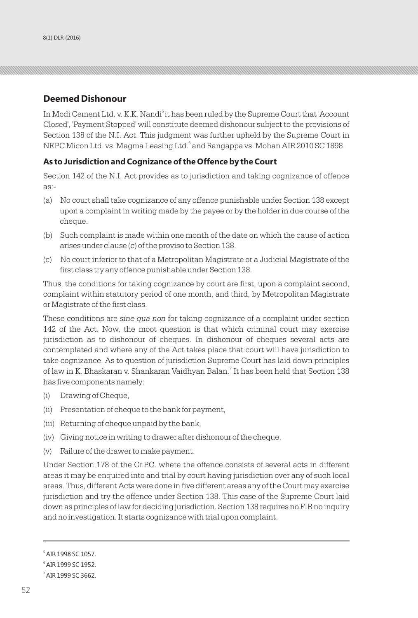#### **Deemed Dishonour**

In Modi Cement Ltd. v. K.K. Nandi<sup>5</sup> it has been ruled by the Supreme Court that 'Account Closed', 'Payment Stopped' will constitute deemed dishonour subject to the provisions of Section 138 of the N.I. Act. This judgment was further upheld by the Supreme Court in NEPC Micon Ltd. vs. Magma Leasing Ltd. and Rangappa vs. Mohan AIR 2010 SC 1898.

#### **As to Jurisdiction and Cognizance of the Offence by the Court**

Section 142 of the N.I. Act provides as to jurisdiction and taking cognizance of offence as:-

- (a) No court shall take cognizance of any offence punishable under Section 138 except upon a complaint in writing made by the payee or by the holder in due course of the cheque.
- (b) Such complaint is made within one month of the date on which the cause of action arises under clause (c) of the proviso to Section 138.
- (c) No court inferior to that of a Metropolitan Magistrate or a Judicial Magistrate of the first class try any offence punishable under Section 138.

Thus, the conditions for taking cognizance by court are first, upon a complaint second, complaint within statutory period of one month, and third, by Metropolitan Magistrate or Magistrate of the first class.

These conditions are *sine qua non* for taking cognizance of a complaint under section 142 of the Act. Now, the moot question is that which criminal court may exercise jurisdiction as to dishonour of cheques. In dishonour of cheques several acts are contemplated and where any of the Act takes place that court will have jurisdiction to take cognizance. As to question of jurisdiction Supreme Court has laid down principles of law in K. Bhaskaran v. Shankaran Vaidhyan Balan.<sup>7</sup> It has been held that Section 138 has five components namely:

- (i) Drawing of Cheque,
- (ii) Presentation of cheque to the bank for payment,
- (iii) Returning of cheque unpaid by the bank,
- (iv) Giving notice in writing to drawer after dishonour of the cheque,
- (v) Failure of the drawer to make payment.

Under Section 178 of the Cr.P.C. where the offence consists of several acts in different areas it may be enquired into and trial by court having jurisdiction over any of such local areas. Thus, different Acts were done in five different areas any of the Court may exercise jurisdiction and try the offence under Section 138. This case of the Supreme Court laid down as principles of law for deciding jurisdiction. Section 138 requires no FIR no inquiry and no investigation. It starts cognizance with trial upon complaint.

<sup>5</sup> AIR 1998 SC 1057.

<sup>6</sup> AIR 1999 SC 1952.

 $^7$  AIR 1999 SC 3662.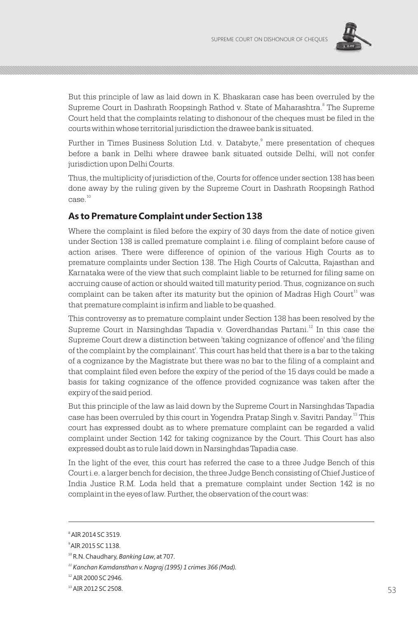

But this principle of law as laid down in K. Bhaskaran case has been overruled by the Supreme Court in Dashrath Roopsingh Rathod v. State of Maharashtra.<sup>8</sup> The Supreme Court held that the complaints relating to dishonour of the cheques must be filed in the courts within whose territorial jurisdiction the drawee bank is situated.

Further in Times Business Solution Ltd. v. Databyte,<sup>9</sup> mere presentation of cheques before a bank in Delhi where drawee bank situated outside Delhi, will not confer jurisdiction upon Delhi Courts.

Thus, the multiplicity of jurisdiction of the, Courts for offence under section 138 has been done away by the ruling given by the Supreme Court in Dashrath Roopsingh Rathod  $\mathrm{case.}^{10}$ 

## **As to Premature Complaint under Section 138**

Where the complaint is filed before the expiry of 30 days from the date of notice given under Section 138 is called premature complaint i.e. filing of complaint before cause of action arises. There were difference of opinion of the various High Courts as to premature complaints under Section 138. The High Courts of Calcutta, Rajasthan and Karnataka were of the view that such complaint liable to be returned for filing same on accruing cause of action or should waited till maturity period. Thus, cognizance on such complaint can be taken after its maturity but the opinion of Madras High Court<sup>11</sup> was that premature complaint is infirm and liable to be quashed.

This controversy as to premature complaint under Section 138 has been resolved by the Supreme Court in Narsinghdas Tapadia v. Goverdhandas Partani.<sup>12</sup> In this case the Supreme Court drew a distinction between 'taking cognizance of offence' and 'the filing of the complaint by the complainant'. This court has held that there is a bar to the taking of a cognizance by the Magistrate but there was no bar to the filing of a complaint and that complaint filed even before the expiry of the period of the 15 days could be made a basis for taking cognizance of the offence provided cognizance was taken after the expiry of the said period.

But this principle of the law as laid down by the Supreme Court in Narsinghdas Tapadia case has been overruled by this court in Yogendra Pratap Singh v. Savitri Panday. $^{\scriptscriptstyle{13}}$  This court has expressed doubt as to where premature complaint can be regarded a valid complaint under Section 142 for taking cognizance by the Court. This Court has also expressed doubt as to rule laid down in Narsinghdas Tapadia case.

In the light of the ever, this court has referred the case to a three Judge Bench of this Court i.e. a larger bench for decision, the three Judge Bench consisting of Chief Justice of India Justice R.M. Loda held that a premature complaint under Section 142 is no complaint in the eyes of law. Further, the observation of the court was:

<sup>8</sup> AIR 2014 SC 3519.

<sup>9</sup>AIR 2015 SC 1138.

<sup>10</sup> R.N. Chaudhary, *Banking Law*, at 707.

*<sup>11</sup> Kanchan Kamdansthan v. Nagraj (1995) 1 crimes 366 (Mad).*

<sup>12</sup> AIR 2000 SC 2946.

 $^{13}$  AIR 2012 SC 2508. 53